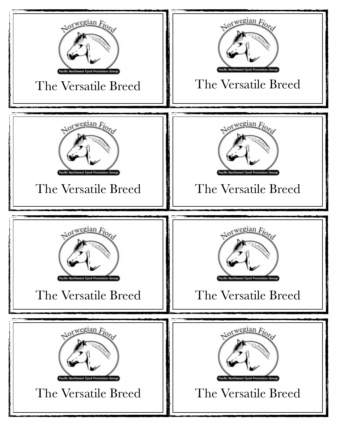